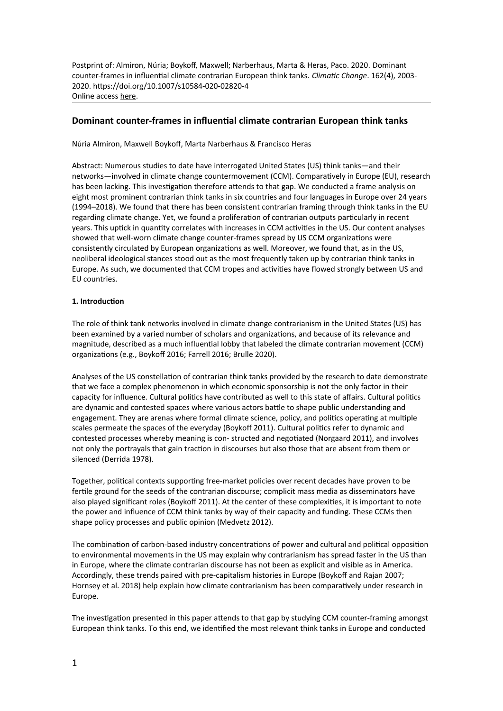Postprint of: Almiron, Núria; Boykoff, Maxwell; Narberhaus, Marta & Heras, Paco. 2020. Dominant counter-frames in influential climate contrarian European think tanks*. Climatic Change*. 162(4), 2003- 2020. https://doi.org/10.1007/s10584-020-02820-4 Online access [here](https://link.springer.com/epdf/10.1007/s10584-020-02820-4?sharing_token=0nozpYLZTIo4gVYQDKfRYve4RwlQNchNByi7wbcMAY4IXoGTSO5mJEHXZX779ZEHOHhHKyqzZjeazmG853TuXOHilvw4DhA0zWbpgXOAt9tgFfr4DNjtcOMNWyhvHslXZ2Eldj3hYY7S8Zc_7tZKMOki76WwOpJvASxzbPjlS6k%3D).

## **Dominant counter-frames in influential climate contrarian European think tanks**

Núria Almiron, Maxwell Boykoff, Marta Narberhaus & Francisco Heras

Abstract: Numerous studies to date have interrogated United States (US) think tanks—and their networks—involved in climate change countermovement (CCM). Comparatively in Europe (EU), research has been lacking. This investigation therefore attends to that gap. We conducted a frame analysis on eight most prominent contrarian think tanks in six countries and four languages in Europe over 24 years (1994–2018). We found that there has been consistent contrarian framing through think tanks in the EU regarding climate change. Yet, we found a proliferation of contrarian outputs particularly in recent years. This uptick in quantity correlates with increases in CCM activities in the US. Our content analyses showed that well-worn climate change counter-frames spread by US CCM organizations were consistently circulated by European organizations as well. Moreover, we found that, as in the US, neoliberal ideological stances stood out as the most frequently taken up by contrarian think tanks in Europe. As such, we documented that CCM tropes and activities have flowed strongly between US and EU countries.

### **1. Introduction**

The role of think tank networks involved in climate change contrarianism in the United States (US) has been examined by a varied number of scholars and organizations, and because of its relevance and magnitude, described as a much influential lobby that labeled the climate contrarian movement (CCM) organizations (e.g., Boykoff 2016; Farrell 2016; Brulle 2020).

Analyses of the US constellation of contrarian think tanks provided by the research to date demonstrate that we face a complex phenomenon in which economic sponsorship is not the only factor in their capacity for influence. Cultural politics have contributed as well to this state of affairs. Cultural politics are dynamic and contested spaces where various actors battle to shape public understanding and engagement. They are arenas where formal climate science, policy, and politics operating at multiple scales permeate the spaces of the everyday (Boykoff 2011). Cultural politics refer to dynamic and contested processes whereby meaning is con- structed and negotiated (Norgaard 2011), and involves not only the portrayals that gain traction in discourses but also those that are absent from them or silenced (Derrida 1978).

Together, political contexts supporting free-market policies over recent decades have proven to be fertile ground for the seeds of the contrarian discourse; complicit mass media as disseminators have also played significant roles (Boykoff 2011). At the center of these complexities, it is important to note the power and influence of CCM think tanks by way of their capacity and funding. These CCMs then shape policy processes and public opinion (Medvetz 2012).

The combination of carbon-based industry concentrations of power and cultural and political opposition to environmental movements in the US may explain why contrarianism has spread faster in the US than in Europe, where the climate contrarian discourse has not been as explicit and visible as in America. Accordingly, these trends paired with pre-capitalism histories in Europe (Boykoff and Rajan 2007; Hornsey et al. 2018) help explain how climate contrarianism has been comparatively under research in Europe.

The investigation presented in this paper attends to that gap by studying CCM counter-framing amongst European think tanks. To this end, we identified the most relevant think tanks in Europe and conducted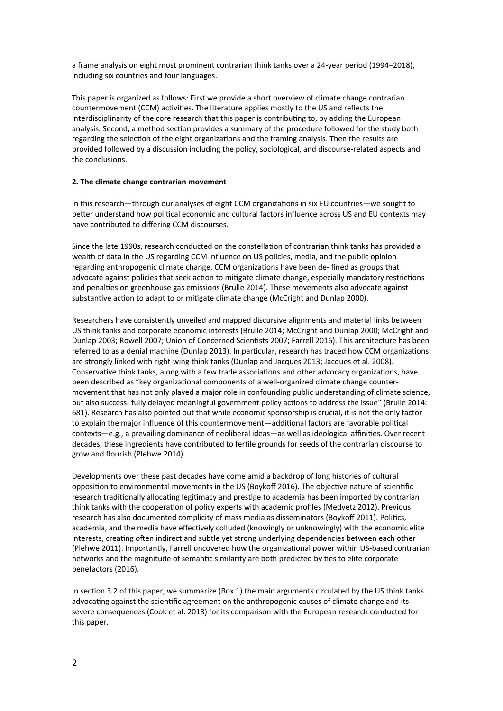a frame analysis on eight most prominent contrarian think tanks over a 24-year period (1994–2018), including six countries and four languages.

This paper is organized as follows: First we provide a short overview of climate change contrarian countermovement (CCM) activities. The literature applies mostly to the US and reflects the interdisciplinarity of the core research that this paper is contributing to, by adding the European analysis. Second, a method section provides a summary of the procedure followed for the study both regarding the selection of the eight organizations and the framing analysis. Then the results are provided followed by a discussion including the policy, sociological, and discourse-related aspects and the conclusions.

## **2. The climate change contrarian movement**

In this research—through our analyses of eight CCM organizations in six EU countries—we sought to better understand how political economic and cultural factors influence across US and EU contexts may have contributed to differing CCM discourses.

Since the late 1990s, research conducted on the constellation of contrarian think tanks has provided a wealth of data in the US regarding CCM influence on US policies, media, and the public opinion regarding anthropogenic climate change. CCM organizations have been de- fined as groups that advocate against policies that seek action to mitigate climate change, especially mandatory restrictions and penalties on greenhouse gas emissions (Brulle 2014). These movements also advocate against substantive action to adapt to or mitigate climate change (McCright and Dunlap 2000).

Researchers have consistently unveiled and mapped discursive alignments and material links between US think tanks and corporate economic interests (Brulle 2014; McCright and Dunlap 2000; McCright and Dunlap 2003; Rowell 2007; Union of Concerned Scientists 2007; Farrell 2016). This architecture has been referred to as a denial machine (Dunlap 2013). In particular, research has traced how CCM organizations are strongly linked with right-wing think tanks (Dunlap and Jacques 2013; Jacques et al. 2008). Conservative think tanks, along with a few trade associations and other advocacy organizations, have been described as "key organizational components of a well-organized climate change countermovement that has not only played a major role in confounding public understanding of climate science, but also success- fully delayed meaningful government policy actions to address the issue" (Brulle 2014: 681). Research has also pointed out that while economic sponsorship is crucial, it is not the only factor to explain the major influence of this countermovement—additional factors are favorable political contexts—e.g., a prevailing dominance of neoliberal ideas—as well as ideological affinities. Over recent decades, these ingredients have contributed to fertile grounds for seeds of the contrarian discourse to grow and flourish (Plehwe 2014).

Developments over these past decades have come amid a backdrop of long histories of cultural opposition to environmental movements in the US (Boykoff 2016). The objective nature of scientific research traditionally allocating legitimacy and prestige to academia has been imported by contrarian think tanks with the cooperation of policy experts with academic profiles (Medvetz 2012). Previous research has also documented complicity of mass media as disseminators (Boykoff 2011). Politics, academia, and the media have effectively colluded (knowingly or unknowingly) with the economic elite interests, creating often indirect and subtle yet strong underlying dependencies between each other (Plehwe 2011). Importantly, Farrell uncovered how the organizational power within US-based contrarian networks and the magnitude of semantic similarity are both predicted by ties to elite corporate benefactors (2016).

In section 3.2 of this paper, we summarize (Box 1) the main arguments circulated by the US think tanks advocating against the scientific agreement on the anthropogenic causes of climate change and its severe consequences (Cook et al. 2018) for its comparison with the European research conducted for this paper.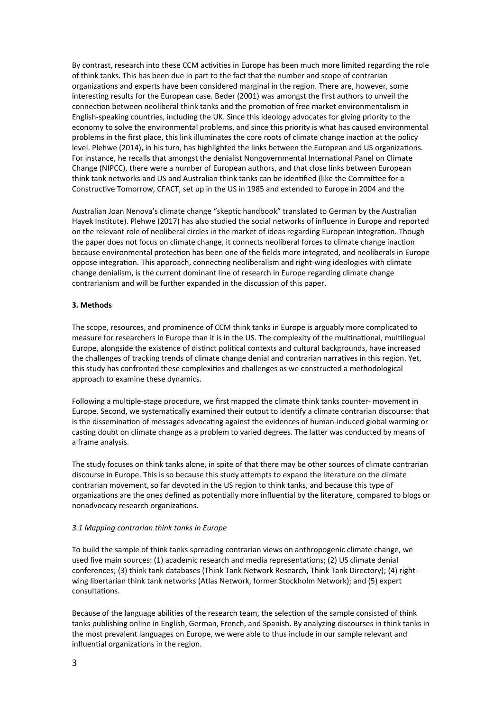By contrast, research into these CCM activities in Europe has been much more limited regarding the role of think tanks. This has been due in part to the fact that the number and scope of contrarian organizations and experts have been considered marginal in the region. There are, however, some interesting results for the European case. Beder (2001) was amongst the first authors to unveil the connection between neoliberal think tanks and the promotion of free market environmentalism in English-speaking countries, including the UK. Since this ideology advocates for giving priority to the economy to solve the environmental problems, and since this priority is what has caused environmental problems in the first place, this link illuminates the core roots of climate change inaction at the policy level. Plehwe (2014), in his turn, has highlighted the links between the European and US organizations. For instance, he recalls that amongst the denialist Nongovernmental International Panel on Climate Change (NIPCC), there were a number of European authors, and that close links between European think tank networks and US and Australian think tanks can be identified (like the Committee for a Constructive Tomorrow, CFACT, set up in the US in 1985 and extended to Europe in 2004 and the

Australian Joan Nenova's climate change "skeptic handbook" translated to German by the Australian Hayek Institute). Plehwe (2017) has also studied the social networks of influence in Europe and reported on the relevant role of neoliberal circles in the market of ideas regarding European integration. Though the paper does not focus on climate change, it connects neoliberal forces to climate change inaction because environmental protection has been one of the fields more integrated, and neoliberals in Europe oppose integration. This approach, connecting neoliberalism and right-wing ideologies with climate change denialism, is the current dominant line of research in Europe regarding climate change contrarianism and will be further expanded in the discussion of this paper.

### **3. Methods**

The scope, resources, and prominence of CCM think tanks in Europe is arguably more complicated to measure for researchers in Europe than it is in the US. The complexity of the multinational, multilingual Europe, alongside the existence of distinct political contexts and cultural backgrounds, have increased the challenges of tracking trends of climate change denial and contrarian narratives in this region. Yet, this study has confronted these complexities and challenges as we constructed a methodological approach to examine these dynamics.

Following a multiple-stage procedure, we first mapped the climate think tanks counter- movement in Europe. Second, we systematically examined their output to identify a climate contrarian discourse: that is the dissemination of messages advocating against the evidences of human-induced global warming or casting doubt on climate change as a problem to varied degrees. The latter was conducted by means of a frame analysis.

The study focuses on think tanks alone, in spite of that there may be other sources of climate contrarian discourse in Europe. This is so because this study attempts to expand the literature on the climate contrarian movement, so far devoted in the US region to think tanks, and because this type of organizations are the ones defined as potentially more influential by the literature, compared to blogs or nonadvocacy research organizations.

## *3.1 Mapping contrarian think tanks in Europe*

To build the sample of think tanks spreading contrarian views on anthropogenic climate change, we used five main sources: (1) academic research and media representations; (2) US climate denial conferences; (3) think tank databases (Think Tank Network Research, Think Tank Directory); (4) rightwing libertarian think tank networks (Atlas Network, former Stockholm Network); and (5) expert consultations.

Because of the language abilities of the research team, the selection of the sample consisted of think tanks publishing online in English, German, French, and Spanish. By analyzing discourses in think tanks in the most prevalent languages on Europe, we were able to thus include in our sample relevant and influential organizations in the region.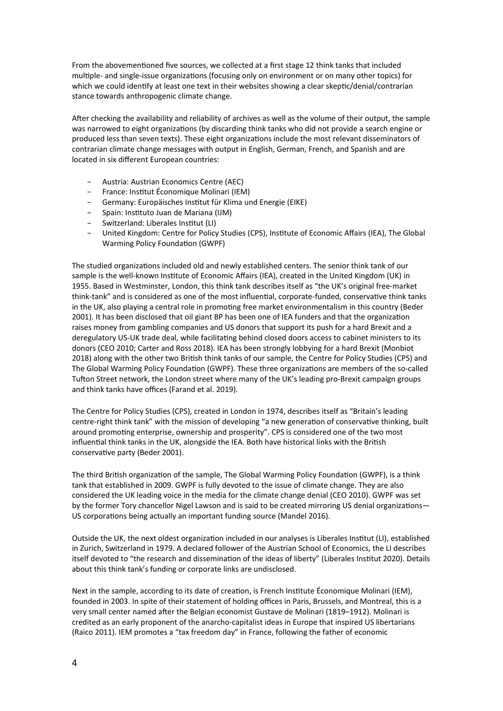From the abovementioned five sources, we collected at a first stage 12 think tanks that included multiple- and single-issue organizations (focusing only on environment or on many other topics) for which we could identify at least one text in their websites showing a clear skeptic/denial/contrarian stance towards anthropogenic climate change.

After checking the availability and reliability of archives as well as the volume of their output, the sample was narrowed to eight organizations (by discarding think tanks who did not provide a search engine or produced less than seven texts). These eight organizations include the most relevant disseminators of contrarian climate change messages with output in English, German, French, and Spanish and are located in six different European countries:

- Austria: Austrian Economics Centre (AEC)
- France: Institut Économique Molinari (IEM)
- Germany: Europäisches Institut für Klima und Energie (EIKE)
- Spain: Instituto Juan de Mariana (IJM)
- Switzerland: Liberales Institut (LI)
- United Kingdom: Centre for Policy Studies (CPS), Institute of Economic Affairs (IEA), The Global Warming Policy Foundation (GWPF)

The studied organizations included old and newly established centers. The senior think tank of our sample is the well-known Institute of Economic Affairs (IEA), created in the United Kingdom (UK) in 1955. Based in Westminster, London, this think tank describes itself as "the UK's original free-market think-tank" and is considered as one of the most influential, corporate-funded, conservative think tanks in the UK, also playing a central role in promoting free market environmentalism in this country (Beder 2001). It has been disclosed that oil giant BP has been one of IEA funders and that the organization raises money from gambling companies and US donors that support its push for a hard Brexit and a deregulatory US-UK trade deal, while facilitating behind closed doors access to cabinet ministers to its donors (CEO 2010; Carter and Ross 2018). IEA has been strongly lobbying for a hard Brexit (Monbiot 2018) along with the other two British think tanks of our sample, the Centre for Policy Studies (CPS) and The Global Warming Policy Foundation (GWPF). These three organizations are members of the so-called Tufton Street network, the London street where many of the UK's leading pro-Brexit campaign groups and think tanks have offices (Farand et al. 2019).

The Centre for Policy Studies (CPS), created in London in 1974, describes itself as "Britain's leading centre-right think tank" with the mission of developing "a new generation of conservative thinking, built around promoting enterprise, ownership and prosperity". CPS is considered one of the two most influential think tanks in the UK, alongside the IEA. Both have historical links with the British conservative party (Beder 2001).

The third British organization of the sample, The Global Warming Policy Foundation (GWPF), is a think tank that established in 2009. GWPF is fully devoted to the issue of climate change. They are also considered the UK leading voice in the media for the climate change denial (CEO 2010). GWPF was set by the former Tory chancellor Nigel Lawson and is said to be created mirroring US denial organizations— US corporations being actually an important funding source (Mandel 2016).

Outside the UK, the next oldest organization included in our analyses is Liberales Institut (LI), established in Zurich, Switzerland in 1979. A declared follower of the Austrian School of Economics, the LI describes itself devoted to "the research and dissemination of the ideas of liberty" (Liberales Institut 2020). Details about this think tank's funding or corporate links are undisclosed.

Next in the sample, according to its date of creation, is French Institute Économique Molinari (IEM), founded in 2003. In spite of their statement of holding offices in Paris, Brussels, and Montreal, this is a very small center named after the Belgian economist Gustave de Molinari (1819–1912). Molinari is credited as an early proponent of the anarcho-capitalist ideas in Europe that inspired US libertarians (Raico 2011). IEM promotes a "tax freedom day" in France, following the father of economic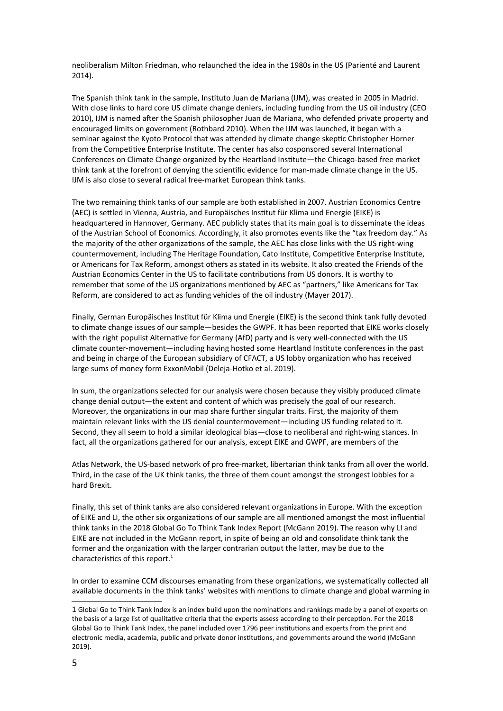neoliberalism Milton Friedman, who relaunched the idea in the 1980s in the US (Parienté and Laurent 2014).

The Spanish think tank in the sample, Instituto Juan de Mariana (IJM), was created in 2005 in Madrid. With close links to hard core US climate change deniers, including funding from the US oil industry (CEO 2010), IJM is named after the Spanish philosopher Juan de Mariana, who defended private property and encouraged limits on government (Rothbard 2010). When the IJM was launched, it began with a seminar against the Kyoto Protocol that was attended by climate change skeptic Christopher Horner from the Competitive Enterprise Institute. The center has also cosponsored several International Conferences on Climate Change organized by the Heartland Institute—the Chicago-based free market think tank at the forefront of denying the scientific evidence for man-made climate change in the US. IJM is also close to several radical free-market European think tanks.

The two remaining think tanks of our sample are both established in 2007. Austrian Economics Centre (AEC) is settled in Vienna, Austria, and Europäisches Institut für Klima und Energie (EIKE) is headquartered in Hannover, Germany. AEC publicly states that its main goal is to disseminate the ideas of the Austrian School of Economics. Accordingly, it also promotes events like the "tax freedom day." As the majority of the other organizations of the sample, the AEC has close links with the US right-wing countermovement, including The Heritage Foundation, Cato Institute, Competitive Enterprise Institute, or Americans for Tax Reform, amongst others as stated in its website. It also created the Friends of the Austrian Economics Center in the US to facilitate contributions from US donors. It is worthy to remember that some of the US organizations mentioned by AEC as "partners," like Americans for Tax Reform, are considered to act as funding vehicles of the oil industry (Mayer 2017).

Finally, German Europäisches Institut für Klima und Energie (EIKE) is the second think tank fully devoted to climate change issues of our sample—besides the GWPF. It has been reported that EIKE works closely with the right populist Alternative for Germany (AfD) party and is very well-connected with the US climate counter-movement—including having hosted some Heartland Institute conferences in the past and being in charge of the European subsidiary of CFACT, a US lobby organization who has received large sums of money form ExxonMobil (Deleja-Hotko et al. 2019).

In sum, the organizations selected for our analysis were chosen because they visibly produced climate change denial output—the extent and content of which was precisely the goal of our research. Moreover, the organizations in our map share further singular traits. First, the majority of them maintain relevant links with the US denial countermovement—including US funding related to it. Second, they all seem to hold a similar ideological bias—close to neoliberal and right-wing stances. In fact, all the organizations gathered for our analysis, except EIKE and GWPF, are members of the

Atlas Network, the US-based network of pro free-market, libertarian think tanks from all over the world. Third, in the case of the UK think tanks, the three of them count amongst the strongest lobbies for a hard Brexit.

Finally, this set of think tanks are also considered relevant organizations in Europe. With the exception of EIKE and LI, the other six organizations of our sample are all mentioned amongst the most influential think tanks in the 2018 Global Go To Think Tank Index Report (McGann 2019). The reason why LI and EIKE are not included in the McGann report, in spite of being an old and consolidate think tank the former and the organization with the larger contrarian output the latter, may be due to the characteristics of this report. $<sup>1</sup>$  $<sup>1</sup>$  $<sup>1</sup>$ </sup>

In order to examine CCM discourses emanating from these organizations, we systematically collected all available documents in the think tanks' websites with mentions to climate change and global warming in

<span id="page-4-0"></span><sup>1</sup> Global Go to Think Tank Index is an index build upon the nominations and rankings made by a panel of experts on the basis of a large list of qualitative criteria that the experts assess according to their perception. For the 2018 Global Go to Think Tank Index, the panel included over 1796 peer institutions and experts from the print and electronic media, academia, public and private donor institutions, and governments around the world (McGann 2019).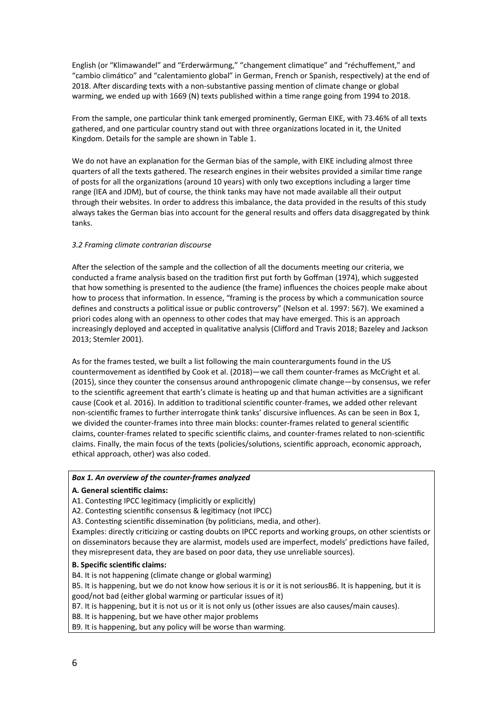English (or "Klimawandel" and "Erderwärmung," "changement climatique" and "réchuffement," and "cambio climático" and "calentamiento global" in German, French or Spanish, respectively) at the end of 2018. After discarding texts with a non-substantive passing mention of climate change or global warming, we ended up with 1669 (N) texts published within a time range going from 1994 to 2018.

From the sample, one particular think tank emerged prominently, German EIKE, with 73.46% of all texts gathered, and one particular country stand out with three organizations located in it, the United Kingdom. Details for the sample are shown in Table 1.

We do not have an explanation for the German bias of the sample, with EIKE including almost three quarters of all the texts gathered. The research engines in their websites provided a similar time range of posts for all the organizations (around 10 years) with only two exceptions including a larger time range (IEA and JDM), but of course, the think tanks may have not made available all their output through their websites. In order to address this imbalance, the data provided in the results of this study always takes the German bias into account for the general results and offers data disaggregated by think tanks.

## *3.2 Framing climate contrarian discourse*

After the selection of the sample and the collection of all the documents meeting our criteria, we conducted a frame analysis based on the tradition first put forth by Goffman (1974), which suggested that how something is presented to the audience (the frame) influences the choices people make about how to process that information. In essence, "framing is the process by which a communication source defines and constructs a political issue or public controversy" (Nelson et al. 1997: 567). We examined a priori codes along with an openness to other codes that may have emerged. This is an approach increasingly deployed and accepted in qualitative analysis (Clifford and Travis 2018; Bazeley and Jackson 2013; Stemler 2001).

As for the frames tested, we built a list following the main counterarguments found in the US countermovement as identified by Cook et al. (2018)—we call them counter-frames as McCright et al. (2015), since they counter the consensus around anthropogenic climate change—by consensus, we refer to the scientific agreement that earth's climate is heating up and that human activities are a significant cause (Cook et al. 2016). In addition to traditional scientific counter-frames, we added other relevant non-scientific frames to further interrogate think tanks' discursive influences. As can be seen in Box 1, we divided the counter-frames into three main blocks: counter-frames related to general scientific claims, counter-frames related to specific scientific claims, and counter-frames related to non-scientific claims. Finally, the main focus of the texts (policies/solutions, scientific approach, economic approach, ethical approach, other) was also coded.

## *Box 1. An overview of the counter-frames analyzed*

## **A. General scientific claims:**

A1. Contesting IPCC legitimacy (implicitly or explicitly)

A2. Contesting scientific consensus & legitimacy (not IPCC)

A3. Contesting scientific dissemination (by politicians, media, and other).

Examples: directly criticizing or casting doubts on IPCC reports and working groups, on other scientists or on disseminators because they are alarmist, models used are imperfect, models' predictions have failed, they misrepresent data, they are based on poor data, they use unreliable sources).

## **B. Specific scientific claims:**

B4. It is not happening (climate change or global warming)

B5. It is happening, but we do not know how serious it is or it is not seriousB6. It is happening, but it is good/not bad (either global warming or particular issues of it)

B7. It is happening, but it is not us or it is not only us (other issues are also causes/main causes).

B8. It is happening, but we have other major problems

B9. It is happening, but any policy will be worse than warming.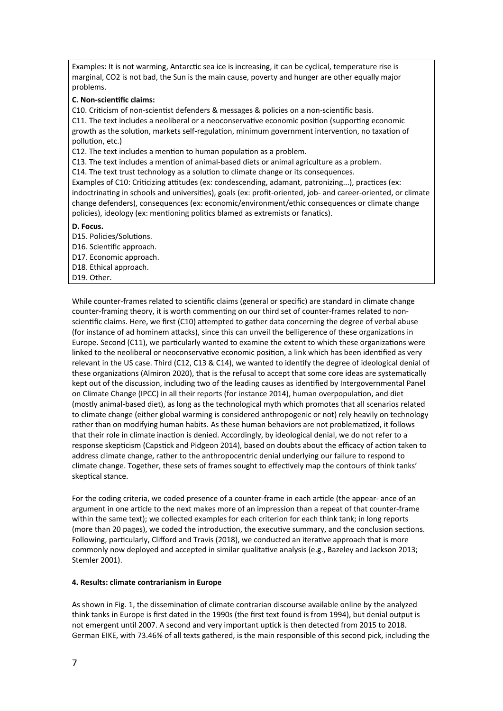Examples: It is not warming, Antarctic sea ice is increasing, it can be cyclical, temperature rise is marginal, CO2 is not bad, the Sun is the main cause, poverty and hunger are other equally major problems.

## **C. Non-scientific claims:**

C10. Criticism of non-scientist defenders & messages & policies on a non-scientific basis.

C11. The text includes a neoliberal or a neoconservative economic position (supporting economic growth as the solution, markets self-regulation, minimum government intervention, no taxation of pollution, etc.)

C12. The text includes a mention to human population as a problem.

C13. The text includes a mention of animal-based diets or animal agriculture as a problem.

C14. The text trust technology as a solution to climate change or its consequences.

Examples of C10: Criticizing attitudes (ex: condescending, adamant, patronizing...), practices (ex: indoctrinating in schools and universities), goals (ex: profit-oriented, job- and career-oriented, or climate change defenders), consequences (ex: economic/environment/ethic consequences or climate change policies), ideology (ex: mentioning politics blamed as extremists or fanatics).

**D. Focus.**

D15. Policies/Solutions. D16. Scientific approach. D17. Economic approach. D18. Ethical approach. D19. Other.

While counter-frames related to scientific claims (general or specific) are standard in climate change counter-framing theory, it is worth commenting on our third set of counter-frames related to nonscientific claims. Here, we first (C10) attempted to gather data concerning the degree of verbal abuse (for instance of ad hominem attacks), since this can unveil the belligerence of these organizations in Europe. Second (C11), we particularly wanted to examine the extent to which these organizations were linked to the neoliberal or neoconservative economic position, a link which has been identified as very relevant in the US case. Third (C12, C13 & C14), we wanted to identify the degree of ideological denial of these organizations (Almiron 2020), that is the refusal to accept that some core ideas are systematically kept out of the discussion, including two of the leading causes as identified by Intergovernmental Panel on Climate Change (IPCC) in all their reports (for instance 2014), human overpopulation, and diet (mostly animal-based diet), as long as the technological myth which promotes that all scenarios related to climate change (either global warming is considered anthropogenic or not) rely heavily on technology rather than on modifying human habits. As these human behaviors are not problematized, it follows that their role in climate inaction is denied. Accordingly, by ideological denial, we do not refer to a response skepticism (Capstick and Pidgeon 2014), based on doubts about the efficacy of action taken to address climate change, rather to the anthropocentric denial underlying our failure to respond to climate change. Together, these sets of frames sought to effectively map the contours of think tanks' skeptical stance.

For the coding criteria, we coded presence of a counter-frame in each article (the appear- ance of an argument in one article to the next makes more of an impression than a repeat of that counter-frame within the same text); we collected examples for each criterion for each think tank; in long reports (more than 20 pages), we coded the introduction, the executive summary, and the conclusion sections. Following, particularly, Clifford and Travis (2018), we conducted an iterative approach that is more commonly now deployed and accepted in similar qualitative analysis (e.g., Bazeley and Jackson 2013; Stemler 2001).

## **4. Results: climate contrarianism in Europe**

As shown in Fig. 1, the dissemination of climate contrarian discourse available online by the analyzed think tanks in Europe is first dated in the 1990s (the first text found is from 1994), but denial output is not emergent until 2007. A second and very important uptick is then detected from 2015 to 2018. German EIKE, with 73.46% of all texts gathered, is the main responsible of this second pick, including the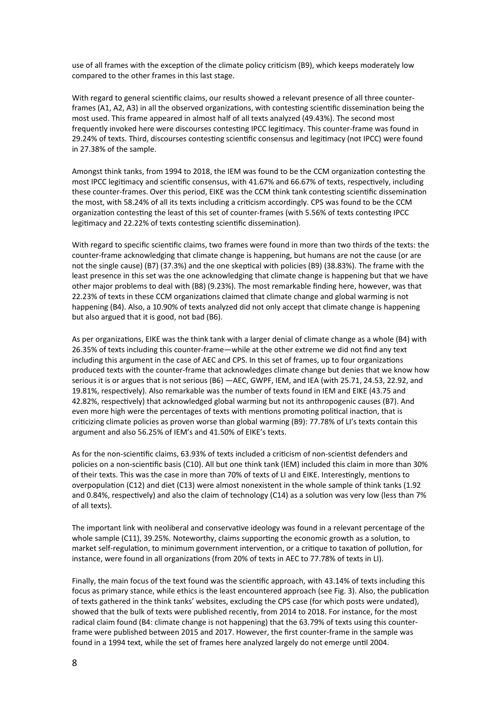use of all frames with the exception of the climate policy criticism (B9), which keeps moderately low compared to the other frames in this last stage.

With regard to general scientific claims, our results showed a relevant presence of all three counterframes (A1, A2, A3) in all the observed organizations, with contesting scientific dissemination being the most used. This frame appeared in almost half of all texts analyzed (49.43%). The second most frequently invoked here were discourses contesting IPCC legitimacy. This counter-frame was found in 29.24% of texts. Third, discourses contesting scientific consensus and legitimacy (not IPCC) were found in 27.38% of the sample.

Amongst think tanks, from 1994 to 2018, the IEM was found to be the CCM organization contesting the most IPCC legitimacy and scientific consensus, with 41.67% and 66.67% of texts, respectively, including these counter-frames. Over this period, EIKE was the CCM think tank contesting scientific dissemination the most, with 58.24% of all its texts including a criticism accordingly. CPS was found to be the CCM organization contesting the least of this set of counter-frames (with 5.56% of texts contesting IPCC legitimacy and 22.22% of texts contesting scientific dissemination).

With regard to specific scientific claims, two frames were found in more than two thirds of the texts: the counter-frame acknowledging that climate change is happening, but humans are not the cause (or are not the single cause) (B7) (37.3%) and the one skeptical with policies (B9) (38.83%). The frame with the least presence in this set was the one acknowledging that climate change is happening but that we have other major problems to deal with (B8) (9.23%). The most remarkable finding here, however, was that 22.23% of texts in these CCM organizations claimed that climate change and global warming is not happening (B4). Also, a 10.90% of texts analyzed did not only accept that climate change is happening but also argued that it is good, not bad (B6).

As per organizations, EIKE was the think tank with a larger denial of climate change as a whole (B4) with 26.35% of texts including this counter-frame—while at the other extreme we did not find any text including this argument in the case of AEC and CPS. In this set of frames, up to four organizations produced texts with the counter-frame that acknowledges climate change but denies that we know how serious it is or argues that is not serious (B6) —AEC, GWPF, IEM, and IEA (with 25.71, 24.53, 22.92, and 19.81%, respectively). Also remarkable was the number of texts found in IEM and EIKE (43.75 and 42.82%, respectively) that acknowledged global warming but not its anthropogenic causes (B7). And even more high were the percentages of texts with mentions promoting political inaction, that is criticizing climate policies as proven worse than global warming (B9): 77.78% of LI's texts contain this argument and also 56.25% of IEM's and 41.50% of EIKE's texts.

As for the non-scientific claims, 63.93% of texts included a criticism of non-scientist defenders and policies on a non-scientific basis (C10). All but one think tank (IEM) included this claim in more than 30% of their texts. This was the case in more than 70% of texts of LI and EIKE. Interestingly, mentions to overpopulation (C12) and diet (C13) were almost nonexistent in the whole sample of think tanks (1.92 and 0.84%, respectively) and also the claim of technology (C14) as a solution was very low (less than 7% of all texts).

The important link with neoliberal and conservative ideology was found in a relevant percentage of the whole sample (C11), 39.25%. Noteworthy, claims supporting the economic growth as a solution, to market self-regulation, to minimum government intervention, or a critique to taxation of pollution, for instance, were found in all organizations (from 20% of texts in AEC to 77.78% of texts in LI).

Finally, the main focus of the text found was the scientific approach, with 43.14% of texts including this focus as primary stance, while ethics is the least encountered approach (see Fig. 3). Also, the publication of texts gathered in the think tanks' websites, excluding the CPS case (for which posts were undated), showed that the bulk of texts were published recently, from 2014 to 2018. For instance, for the most radical claim found (B4: climate change is not happening) that the 63.79% of texts using this counterframe were published between 2015 and 2017. However, the first counter-frame in the sample was found in a 1994 text, while the set of frames here analyzed largely do not emerge until 2004.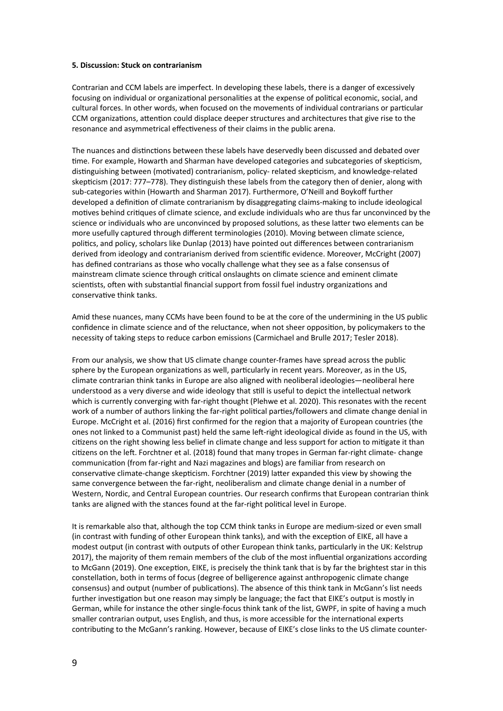#### **5. Discussion: Stuck on contrarianism**

Contrarian and CCM labels are imperfect. In developing these labels, there is a danger of excessively focusing on individual or organizational personalities at the expense of political economic, social, and cultural forces. In other words, when focused on the movements of individual contrarians or particular CCM organizations, attention could displace deeper structures and architectures that give rise to the resonance and asymmetrical effectiveness of their claims in the public arena.

The nuances and distinctions between these labels have deservedly been discussed and debated over time. For example, Howarth and Sharman have developed categories and subcategories of skepticism, distinguishing between (motivated) contrarianism, policy- related skepticism, and knowledge-related skepticism (2017: 777–778). They distinguish these labels from the category then of denier, along with sub-categories within (Howarth and Sharman 2017). Furthermore, O'Neill and Boykoff further developed a definition of climate contrarianism by disaggregating claims-making to include ideological motives behind critiques of climate science, and exclude individuals who are thus far unconvinced by the science or individuals who are unconvinced by proposed solutions, as these latter two elements can be more usefully captured through different terminologies (2010). Moving between climate science, politics, and policy, scholars like Dunlap (2013) have pointed out differences between contrarianism derived from ideology and contrarianism derived from scientific evidence. Moreover, McCright (2007) has defined contrarians as those who vocally challenge what they see as a false consensus of mainstream climate science through critical onslaughts on climate science and eminent climate scientists, often with substantial financial support from fossil fuel industry organizations and conservative think tanks.

Amid these nuances, many CCMs have been found to be at the core of the undermining in the US public confidence in climate science and of the reluctance, when not sheer opposition, by policymakers to the necessity of taking steps to reduce carbon emissions (Carmichael and Brulle 2017; Tesler 2018).

From our analysis, we show that US climate change counter-frames have spread across the public sphere by the European organizations as well, particularly in recent years. Moreover, as in the US, climate contrarian think tanks in Europe are also aligned with neoliberal ideologies—neoliberal here understood as a very diverse and wide ideology that still is useful to depict the intellectual network which is currently converging with far-right thought (Plehwe et al. 2020). This resonates with the recent work of a number of authors linking the far-right political parties/followers and climate change denial in Europe. McCright et al. (2016) first confirmed for the region that a majority of European countries (the ones not linked to a Communist past) held the same left-right ideological divide as found in the US, with citizens on the right showing less belief in climate change and less support for action to mitigate it than citizens on the left. Forchtner et al. (2018) found that many tropes in German far-right climate- change communication (from far-right and Nazi magazines and blogs) are familiar from research on conservative climate-change skepticism. Forchtner (2019) latter expanded this view by showing the same convergence between the far-right, neoliberalism and climate change denial in a number of Western, Nordic, and Central European countries. Our research confirms that European contrarian think tanks are aligned with the stances found at the far-right political level in Europe.

It is remarkable also that, although the top CCM think tanks in Europe are medium-sized or even small (in contrast with funding of other European think tanks), and with the exception of EIKE, all have a modest output (in contrast with outputs of other European think tanks, particularly in the UK: Kelstrup 2017), the majority of them remain members of the club of the most influential organizations according to McGann (2019). One exception, EIKE, is precisely the think tank that is by far the brightest star in this constellation, both in terms of focus (degree of belligerence against anthropogenic climate change consensus) and output (number of publications). The absence of this think tank in McGann's list needs further investigation but one reason may simply be language; the fact that EIKE's output is mostly in German, while for instance the other single-focus think tank of the list, GWPF, in spite of having a much smaller contrarian output, uses English, and thus, is more accessible for the international experts contributing to the McGann's ranking. However, because of EIKE's close links to the US climate counter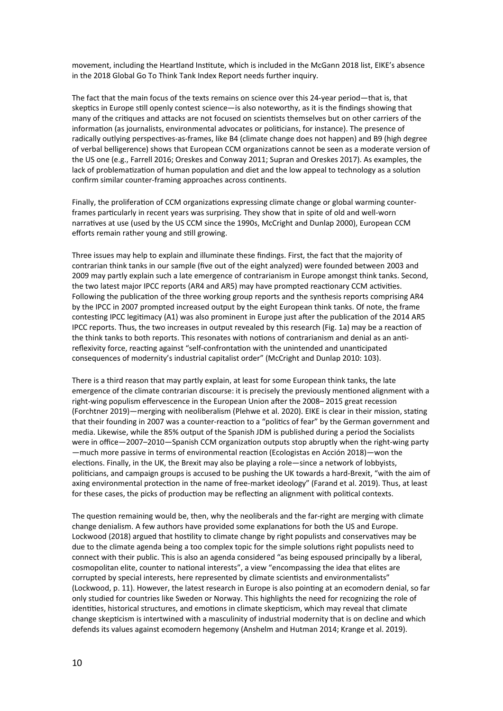movement, including the Heartland Institute, which is included in the McGann 2018 list, EIKE's absence in the 2018 Global Go To Think Tank Index Report needs further inquiry.

The fact that the main focus of the texts remains on science over this 24-year period—that is, that skeptics in Europe still openly contest science—is also noteworthy, as it is the findings showing that many of the critiques and attacks are not focused on scientists themselves but on other carriers of the information (as journalists, environmental advocates or politicians, for instance). The presence of radically outlying perspectives-as-frames, like B4 (climate change does not happen) and B9 (high degree of verbal belligerence) shows that European CCM organizations cannot be seen as a moderate version of the US one (e.g., Farrell 2016; Oreskes and Conway 2011; Supran and Oreskes 2017). As examples, the lack of problematization of human population and diet and the low appeal to technology as a solution confirm similar counter-framing approaches across continents.

Finally, the proliferation of CCM organizations expressing climate change or global warming counterframes particularly in recent years was surprising. They show that in spite of old and well-worn narratives at use (used by the US CCM since the 1990s, McCright and Dunlap 2000), European CCM efforts remain rather young and still growing.

Three issues may help to explain and illuminate these findings. First, the fact that the majority of contrarian think tanks in our sample (five out of the eight analyzed) were founded between 2003 and 2009 may partly explain such a late emergence of contrarianism in Europe amongst think tanks. Second, the two latest major IPCC reports (AR4 and AR5) may have prompted reactionary CCM activities. Following the publication of the three working group reports and the synthesis reports comprising AR4 by the IPCC in 2007 prompted increased output by the eight European think tanks. Of note, the frame contesting IPCC legitimacy (A1) was also prominent in Europe just after the publication of the 2014 AR5 IPCC reports. Thus, the two increases in output revealed by this research (Fig. 1a) may be a reaction of the think tanks to both reports. This resonates with notions of contrarianism and denial as an antireflexivity force, reacting against "self-confrontation with the unintended and unanticipated consequences of modernity's industrial capitalist order" (McCright and Dunlap 2010: 103).

There is a third reason that may partly explain, at least for some European think tanks, the late emergence of the climate contrarian discourse: it is precisely the previously mentioned alignment with a right-wing populism effervescence in the European Union after the 2008– 2015 great recession (Forchtner 2019)—merging with neoliberalism (Plehwe et al. 2020). EIKE is clear in their mission, stating that their founding in 2007 was a counter-reaction to a "politics of fear" by the German government and media. Likewise, while the 85% output of the Spanish JDM is published during a period the Socialists were in office—2007–2010—Spanish CCM organization outputs stop abruptly when the right-wing party —much more passive in terms of environmental reaction (Ecologistas en Acción 2018)—won the elections. Finally, in the UK, the Brexit may also be playing a role—since a network of lobbyists, politicians, and campaign groups is accused to be pushing the UK towards a hard-Brexit, "with the aim of axing environmental protection in the name of free-market ideology" (Farand et al. 2019). Thus, at least for these cases, the picks of production may be reflecting an alignment with political contexts.

The question remaining would be, then, why the neoliberals and the far-right are merging with climate change denialism. A few authors have provided some explanations for both the US and Europe. Lockwood (2018) argued that hostility to climate change by right populists and conservatives may be due to the climate agenda being a too complex topic for the simple solutions right populists need to connect with their public. This is also an agenda considered "as being espoused principally by a liberal, cosmopolitan elite, counter to national interests", a view "encompassing the idea that elites are corrupted by special interests, here represented by climate scientists and environmentalists" (Lockwood, p. 11). However, the latest research in Europe is also pointing at an ecomodern denial, so far only studied for countries like Sweden or Norway. This highlights the need for recognizing the role of identities, historical structures, and emotions in climate skepticism, which may reveal that climate change skepticism is intertwined with a masculinity of industrial modernity that is on decline and which defends its values against ecomodern hegemony (Anshelm and Hutman 2014; Krange et al. 2019).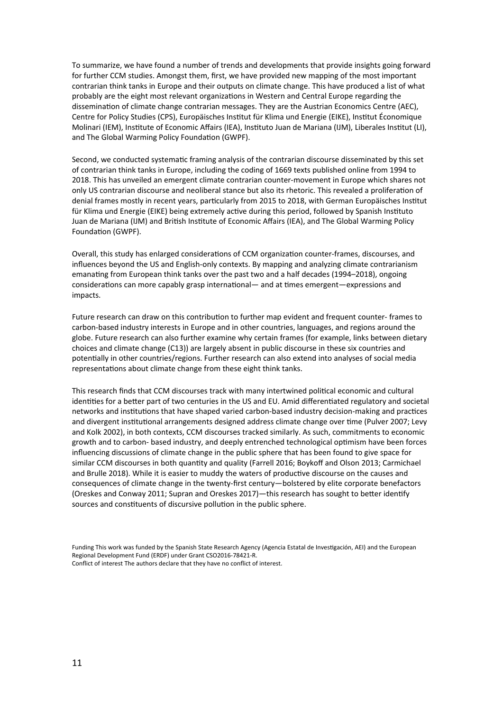To summarize, we have found a number of trends and developments that provide insights going forward for further CCM studies. Amongst them, first, we have provided new mapping of the most important contrarian think tanks in Europe and their outputs on climate change. This have produced a list of what probably are the eight most relevant organizations in Western and Central Europe regarding the dissemination of climate change contrarian messages. They are the Austrian Economics Centre (AEC), Centre for Policy Studies (CPS), Europäisches Institut für Klima und Energie (EIKE), Institut Économique Molinari (IEM), Institute of Economic Affairs (IEA), Instituto Juan de Mariana (IJM), Liberales Institut (LI), and The Global Warming Policy Foundation (GWPF).

Second, we conducted systematic framing analysis of the contrarian discourse disseminated by this set of contrarian think tanks in Europe, including the coding of 1669 texts published online from 1994 to 2018. This has unveiled an emergent climate contrarian counter-movement in Europe which shares not only US contrarian discourse and neoliberal stance but also its rhetoric. This revealed a proliferation of denial frames mostly in recent years, particularly from 2015 to 2018, with German Europäisches Institut für Klima und Energie (EIKE) being extremely active during this period, followed by Spanish Instituto Juan de Mariana (IJM) and British Institute of Economic Affairs (IEA), and The Global Warming Policy Foundation (GWPF).

Overall, this study has enlarged considerations of CCM organization counter-frames, discourses, and influences beyond the US and English-only contexts. By mapping and analyzing climate contrarianism emanating from European think tanks over the past two and a half decades (1994–2018), ongoing considerations can more capably grasp international— and at times emergent—expressions and impacts.

Future research can draw on this contribution to further map evident and frequent counter- frames to carbon-based industry interests in Europe and in other countries, languages, and regions around the globe. Future research can also further examine why certain frames (for example, links between dietary choices and climate change (C13)) are largely absent in public discourse in these six countries and potentially in other countries/regions. Further research can also extend into analyses of social media representations about climate change from these eight think tanks.

This research finds that CCM discourses track with many intertwined political economic and cultural identities for a better part of two centuries in the US and EU. Amid differentiated regulatory and societal networks and institutions that have shaped varied carbon-based industry decision-making and practices and divergent institutional arrangements designed address climate change over time (Pulver 2007; Levy and Kolk 2002), in both contexts, CCM discourses tracked similarly. As such, commitments to economic growth and to carbon- based industry, and deeply entrenched technological optimism have been forces influencing discussions of climate change in the public sphere that has been found to give space for similar CCM discourses in both quantity and quality (Farrell 2016; Boykoff and Olson 2013; Carmichael and Brulle 2018). While it is easier to muddy the waters of productive discourse on the causes and consequences of climate change in the twenty-first century—bolstered by elite corporate benefactors (Oreskes and Conway 2011; Supran and Oreskes 2017)—this research has sought to better identify sources and constituents of discursive pollution in the public sphere.

Funding This work was funded by the Spanish State Research Agency (Agencia Estatal de Investigación, AEI) and the European Regional Development Fund (ERDF) under Grant CSO2016-78421-R. Conflict of interest The authors declare that they have no conflict of interest.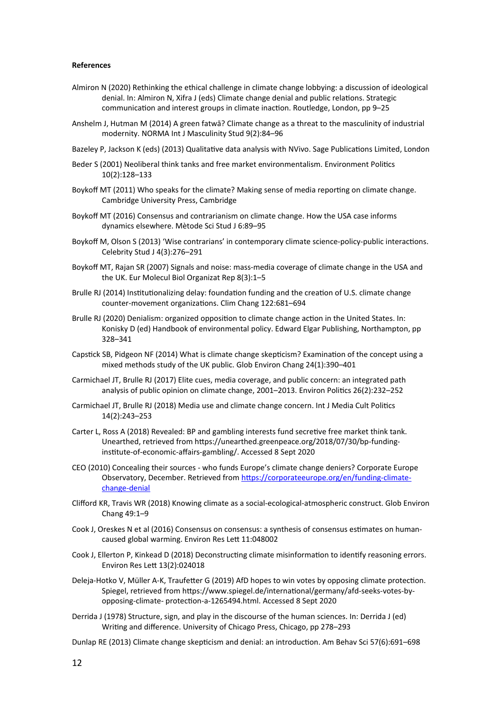#### **References**

- Almiron N (2020) Rethinking the ethical challenge in climate change lobbying: a discussion of ideological denial. In: Almiron N, Xifra J (eds) Climate change denial and public relations. Strategic communication and interest groups in climate inaction. Routledge, London, pp 9–25
- Anshelm J, Hutman M (2014) A green fatwā? Climate change as a threat to the masculinity of industrial modernity. NORMA Int J Masculinity Stud 9(2):84–96
- Bazeley P, Jackson K (eds) (2013) Qualitative data analysis with NVivo. Sage Publications Limited, London
- Beder S (2001) Neoliberal think tanks and free market environmentalism. Environment Politics 10(2):128–133
- Boykoff MT (2011) Who speaks for the climate? Making sense of media reporting on climate change. Cambridge University Press, Cambridge
- Boykoff MT (2016) Consensus and contrarianism on climate change. How the USA case informs dynamics elsewhere. Mètode Sci Stud J 6:89–95
- Boykoff M, Olson S (2013) 'Wise contrarians' in contemporary climate science-policy-public interactions. Celebrity Stud J 4(3):276–291
- Boykoff MT, Rajan SR (2007) Signals and noise: mass-media coverage of climate change in the USA and the UK. Eur Molecul Biol Organizat Rep 8(3):1–5
- Brulle RJ (2014) Institutionalizing delay: foundation funding and the creation of U.S. climate change counter-movement organizations. Clim Chang 122:681–694
- Brulle RJ (2020) Denialism: organized opposition to climate change action in the United States. In: Konisky D (ed) Handbook of environmental policy. Edward Elgar Publishing, Northampton, pp 328–341
- Capstick SB, Pidgeon NF (2014) What is climate change skepticism? Examination of the concept using a mixed methods study of the UK public. Glob Environ Chang 24(1):390–401
- Carmichael JT, Brulle RJ (2017) Elite cues, media coverage, and public concern: an integrated path analysis of public opinion on climate change, 2001–2013. Environ Politics 26(2):232–252
- Carmichael JT, Brulle RJ (2018) Media use and climate change concern. Int J Media Cult Politics 14(2):243–253
- Carter L, Ross A (2018) Revealed: BP and gambling interests fund secretive free market think tank. Unearthed, retrieved from https://unearthed.greenpeace.org/2018/07/30/bp-fundinginstitute-of-economic-affairs-gambling/. Accessed 8 Sept 2020
- CEO (2010) Concealing their sources who funds Europe's climate change deniers? Corporate Europe Observatory, December. Retrieved from [https://corporateeurope.org/en/funding-climate](https://corporateeurope.org/en/funding-climate-change-denial)[change-denial](https://corporateeurope.org/en/funding-climate-change-denial)
- Clifford KR, Travis WR (2018) Knowing climate as a social-ecological-atmospheric construct. Glob Environ Chang 49:1–9
- Cook J, Oreskes N et al (2016) Consensus on consensus: a synthesis of consensus estimates on humancaused global warming. Environ Res Lett 11:048002
- Cook J, Ellerton P, Kinkead D (2018) Deconstructing climate misinformation to identify reasoning errors. Environ Res Lett 13(2):024018
- Deleja-Hotko V, Müller A-K, Traufetter G (2019) AfD hopes to win votes by opposing climate protection. Spiegel, retrieved from https://www.spiegel.de/international/germany/afd-seeks-votes-byopposing-climate- protection-a-1265494.html. Accessed 8 Sept 2020
- Derrida J (1978) Structure, sign, and play in the discourse of the human sciences. In: Derrida J (ed) Writing and difference. University of Chicago Press, Chicago, pp 278–293
- Dunlap RE (2013) Climate change skepticism and denial: an introduction. Am Behav Sci 57(6):691–698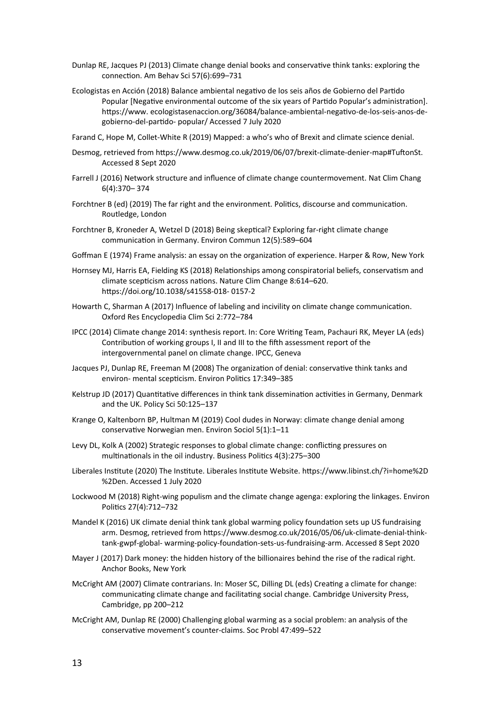- Dunlap RE, Jacques PJ (2013) Climate change denial books and conservative think tanks: exploring the connection. Am Behav Sci 57(6):699–731
- Ecologistas en Acción (2018) Balance ambiental negativo de los seis años de Gobierno del Partido Popular [Negative environmental outcome of the six years of Partido Popular's administration]. https://www. ecologistasenaccion.org/36084/balance-ambiental-negativo-de-los-seis-anos-degobierno-del-partido- popular/ Accessed 7 July 2020
- Farand C, Hope M, Collet-White R (2019) Mapped: a who's who of Brexit and climate science denial.
- Desmog, retrieved from https://www.desmog.co.uk/2019/06/07/brexit-climate-denier-map#TuftonSt. Accessed 8 Sept 2020
- Farrell J (2016) Network structure and influence of climate change countermovement. Nat Clim Chang 6(4):370– 374
- Forchtner B (ed) (2019) The far right and the environment. Politics, discourse and communication. Routledge, London
- Forchtner B, Kroneder A, Wetzel D (2018) Being skeptical? Exploring far-right climate change communication in Germany. Environ Commun 12(5):589–604
- Goffman E (1974) Frame analysis: an essay on the organization of experience. Harper & Row, New York
- Hornsey MJ, Harris EA, Fielding KS (2018) Relationships among conspiratorial beliefs, conservatism and climate scepticism across nations. Nature Clim Change 8:614–620. https://doi.org/10.1038/s41558-018- 0157-2
- Howarth C, Sharman A (2017) Influence of labeling and incivility on climate change communication. Oxford Res Encyclopedia Clim Sci 2:772–784
- IPCC (2014) Climate change 2014: synthesis report. In: Core Writing Team, Pachauri RK, Meyer LA (eds) Contribution of working groups I, II and III to the fifth assessment report of the intergovernmental panel on climate change. IPCC, Geneva
- Jacques PJ, Dunlap RE, Freeman M (2008) The organization of denial: conservative think tanks and environ- mental scepticism. Environ Politics 17:349–385
- Kelstrup JD (2017) Quantitative differences in think tank dissemination activities in Germany, Denmark and the UK. Policy Sci 50:125–137
- Krange O, Kaltenborn BP, Hultman M (2019) Cool dudes in Norway: climate change denial among conservative Norwegian men. Environ Sociol 5(1):1–11
- Levy DL, Kolk A (2002) Strategic responses to global climate change: conflicting pressures on multinationals in the oil industry. Business Politics 4(3):275–300
- Liberales Institute (2020) The Institute. Liberales Institute Website. https://www.libinst.ch/?i=home%2D %2Den. Accessed 1 July 2020
- Lockwood M (2018) Right-wing populism and the climate change agenga: exploring the linkages. Environ Politics 27(4):712–732
- Mandel K (2016) UK climate denial think tank global warming policy foundation sets up US fundraising arm. Desmog, retrieved from https://www.desmog.co.uk/2016/05/06/uk-climate-denial-thinktank-gwpf-global- warming-policy-foundation-sets-us-fundraising-arm. Accessed 8 Sept 2020
- Mayer J (2017) Dark money: the hidden history of the billionaires behind the rise of the radical right. Anchor Books, New York
- McCright AM (2007) Climate contrarians. In: Moser SC, Dilling DL (eds) Creating a climate for change: communicating climate change and facilitating social change. Cambridge University Press, Cambridge, pp 200–212
- McCright AM, Dunlap RE (2000) Challenging global warming as a social problem: an analysis of the conservative movement's counter-claims. Soc Probl 47:499–522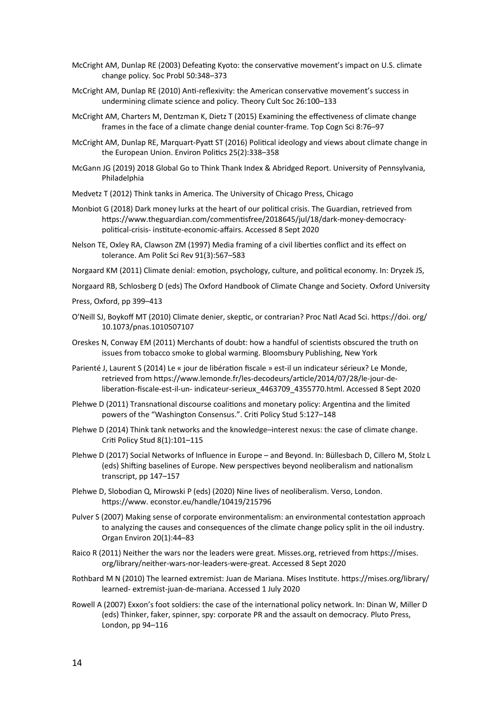- McCright AM, Dunlap RE (2003) Defeating Kyoto: the conservative movement's impact on U.S. climate change policy. Soc Probl 50:348–373
- McCright AM, Dunlap RE (2010) Anti-reflexivity: the American conservative movement's success in undermining climate science and policy. Theory Cult Soc 26:100–133
- McCright AM, Charters M, Dentzman K, Dietz T (2015) Examining the effectiveness of climate change frames in the face of a climate change denial counter-frame. Top Cogn Sci 8:76–97
- McCright AM, Dunlap RE, Marquart-Pyatt ST (2016) Political ideology and views about climate change in the European Union. Environ Politics 25(2):338–358
- McGann JG (2019) 2018 Global Go to Think Thank Index & Abridged Report. University of Pennsylvania, Philadelphia
- Medvetz T (2012) Think tanks in America. The University of Chicago Press, Chicago
- Monbiot G (2018) Dark money lurks at the heart of our political crisis. The Guardian, retrieved from https://www.theguardian.com/commentisfree/2018645/jul/18/dark-money-democracypolitical-crisis- institute-economic-affairs. Accessed 8 Sept 2020
- Nelson TE, Oxley RA, Clawson ZM (1997) Media framing of a civil liberties conflict and its effect on tolerance. Am Polit Sci Rev 91(3):567–583
- Norgaard KM (2011) Climate denial: emotion, psychology, culture, and political economy. In: Dryzek JS,
- Norgaard RB, Schlosberg D (eds) The Oxford Handbook of Climate Change and Society. Oxford University
- Press, Oxford, pp 399–413
- O'Neill SJ, Boykoff MT (2010) Climate denier, skeptic, or contrarian? Proc Natl Acad Sci. https://doi. org/ 10.1073/pnas.1010507107
- Oreskes N, Conway EM (2011) Merchants of doubt: how a handful of scientists obscured the truth on issues from tobacco smoke to global warming. Bloomsbury Publishing, New York
- Parienté J, Laurent S (2014) Le « jour de libération fiscale » est-il un indicateur sérieux? Le Monde, retrieved from https://www.lemonde.fr/les-decodeurs/article/2014/07/28/le-jour-deliberation-fiscale-est-il-un- indicateur-serieux\_4463709\_4355770.html. Accessed 8 Sept 2020
- Plehwe D (2011) Transnational discourse coalitions and monetary policy: Argentina and the limited powers of the "Washington Consensus.". Criti Policy Stud 5:127–148
- Plehwe D (2014) Think tank networks and the knowledge–interest nexus: the case of climate change. Criti Policy Stud 8(1):101–115
- Plehwe D (2017) Social Networks of Influence in Europe and Beyond. In: Büllesbach D, Cillero M, Stolz L (eds) Shifting baselines of Europe. New perspectives beyond neoliberalism and nationalism transcript, pp 147–157
- Plehwe D, Slobodian Q, Mirowski P (eds) (2020) Nine lives of neoliberalism. Verso, London. https://www. econstor.eu/handle/10419/215796
- Pulver S (2007) Making sense of corporate environmentalism: an environmental contestation approach to analyzing the causes and consequences of the climate change policy split in the oil industry. Organ Environ 20(1):44–83
- Raico R (2011) Neither the wars nor the leaders were great. Misses.org, retrieved from https://mises. org/library/neither-wars-nor-leaders-were-great. Accessed 8 Sept 2020
- Rothbard M N (2010) The learned extremist: Juan de Mariana. Mises Institute. https://mises.org/library/ learned- extremist-juan-de-mariana. Accessed 1 July 2020
- Rowell A (2007) Exxon's foot soldiers: the case of the international policy network. In: Dinan W, Miller D (eds) Thinker, faker, spinner, spy: corporate PR and the assault on democracy. Pluto Press, London, pp 94–116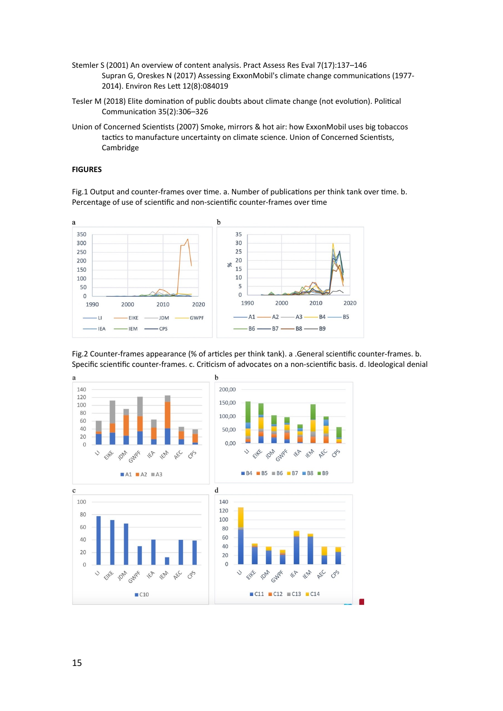- Stemler S (2001) An overview of content analysis. Pract Assess Res Eval 7(17):137–146 Supran G, Oreskes N (2017) Assessing ExxonMobil's climate change communications (1977- 2014). Environ Res Lett 12(8):084019
- Tesler M (2018) Elite domination of public doubts about climate change (not evolution). Political Communication 35(2):306–326
- Union of Concerned Scientists (2007) Smoke, mirrors & hot air: how ExxonMobil uses big tobaccos tactics to manufacture uncertainty on climate science. Union of Concerned Scientists, Cambridge

### **FIGURES**

Fig.1 Output and counter-frames over time. a. Number of publications per think tank over time. b. Percentage of use of scientific and non-scientific counter-frames over time







15